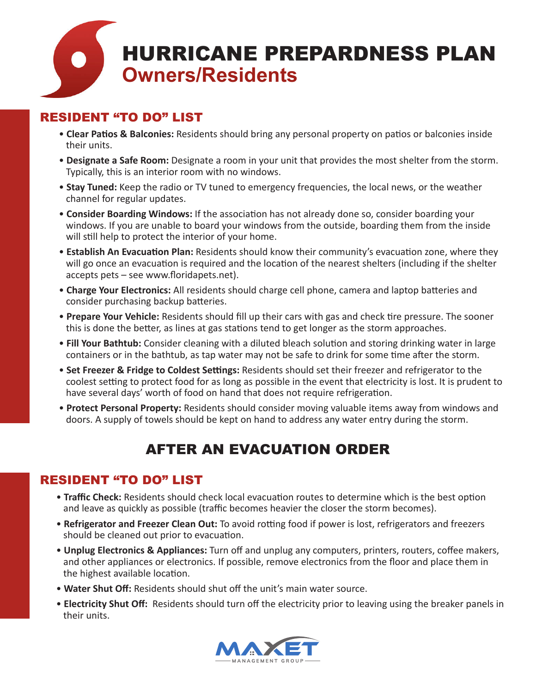

# RESIDENT "TO DO" LIST

- **Clear Patios & Balconies:** Residents should bring any personal property on patios or balconies inside their units.
- **Designate a Safe Room:** Designate a room in your unit that provides the most shelter from the storm. Typically, this is an interior room with no windows.
- **Stay Tuned:** Keep the radio or TV tuned to emergency frequencies, the local news, or the weather channel for regular updates.
- **Consider Boarding Windows:** If the association has not already done so, consider boarding your windows. If you are unable to board your windows from the outside, boarding them from the inside will still help to protect the interior of your home.
- • **Establish An Evacuation Plan:** Residents should know their community's evacuation zone, where they will go once an evacuation is required and the location of the nearest shelters (including if the shelter accepts pets – see www.floridapets.net).
- **Charge Your Electronics:** All residents should charge cell phone, camera and laptop batteries and consider purchasing backup batteries.
- • **Prepare Your Vehicle:** Residents should fill up their cars with gas and check tire pressure. The sooner this is done the better, as lines at gas stations tend to get longer as the storm approaches.
- **Fill Your Bathtub:** Consider cleaning with a diluted bleach solution and storing drinking water in large containers or in the bathtub, as tap water may not be safe to drink for some time after the storm.
- **Set Freezer & Fridge to Coldest Settings:** Residents should set their freezer and refrigerator to the coolest setting to protect food for as long as possible in the event that electricity is lost. It is prudent to have several days' worth of food on hand that does not require refrigeration.
- **Protect Personal Property:** Residents should consider moving valuable items away from windows and doors. A supply of towels should be kept on hand to address any water entry during the storm.

# AFTER AN EVACUATION ORDER

## RESIDENT "TO DO" LIST

- **Traffic Check:** Residents should check local evacuation routes to determine which is the best option and leave as quickly as possible (traffic becomes heavier the closer the storm becomes).
- **Refrigerator and Freezer Clean Out:** To avoid rotting food if power is lost, refrigerators and freezers should be cleaned out prior to evacuation.
- **Unplug Electronics & Appliances:** Turn off and unplug any computers, printers, routers, coffee makers, and other appliances or electronics. If possible, remove electronics from the floor and place them in the highest available location.
- **Water Shut Off:** Residents should shut off the unit's main water source.
- **Electricity Shut Off:** Residents should turn off the electricity prior to leaving using the breaker panels in their units.

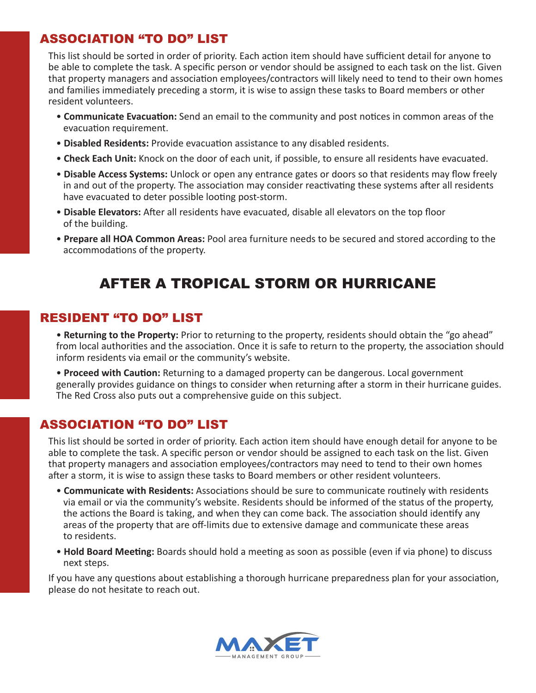## ASSOCIATION "TO DO" LIST

This list should be sorted in order of priority. Each action item should have sufficient detail for anyone to be able to complete the task. A specific person or vendor should be assigned to each task on the list. Given that property managers and association employees/contractors will likely need to tend to their own homes and families immediately preceding a storm, it is wise to assign these tasks to Board members or other resident volunteers.

- • **Communicate Evacuation:** Send an email to the community and post notices in common areas of the evacuation requirement.
- **Disabled Residents:** Provide evacuation assistance to any disabled residents.
- **Check Each Unit:** Knock on the door of each unit, if possible, to ensure all residents have evacuated.
- **Disable Access Systems:** Unlock or open any entrance gates or doors so that residents may flow freely in and out of the property. The association may consider reactivating these systems after all residents have evacuated to deter possible looting post-storm.
- **Disable Elevators:** After all residents have evacuated, disable all elevators on the top floor of the building.
- **Prepare all HOA Common Areas:** Pool area furniture needs to be secured and stored according to the accommodations of the property.

# AFTER A TROPICAL STORM OR HURRICANE

### RESIDENT "TO DO" LIST

- • **Returning to the Property:** Prior to returning to the property, residents should obtain the "go ahead" from local authorities and the association. Once it is safe to return to the property, the association should inform residents via email or the community's website.
- **Proceed with Caution:** Returning to a damaged property can be dangerous. Local government generally provides guidance on things to consider when returning after a storm in their hurricane guides. The Red Cross also puts out a comprehensive guide on this subject.

## ASSOCIATION "TO DO" LIST

This list should be sorted in order of priority. Each action item should have enough detail for anyone to be able to complete the task. A specific person or vendor should be assigned to each task on the list. Given that property managers and association employees/contractors may need to tend to their own homes after a storm, it is wise to assign these tasks to Board members or other resident volunteers.

- • **Communicate with Residents:** Associations should be sure to communicate routinely with residents via email or via the community's website. Residents should be informed of the status of the property, the actions the Board is taking, and when they can come back. The association should identify any areas of the property that are off-limits due to extensive damage and communicate these areas to residents.
- **Hold Board Meeting:** Boards should hold a meeting as soon as possible (even if via phone) to discuss next steps.

If you have any questions about establishing a thorough hurricane preparedness plan for your association, please do not hesitate to reach out.